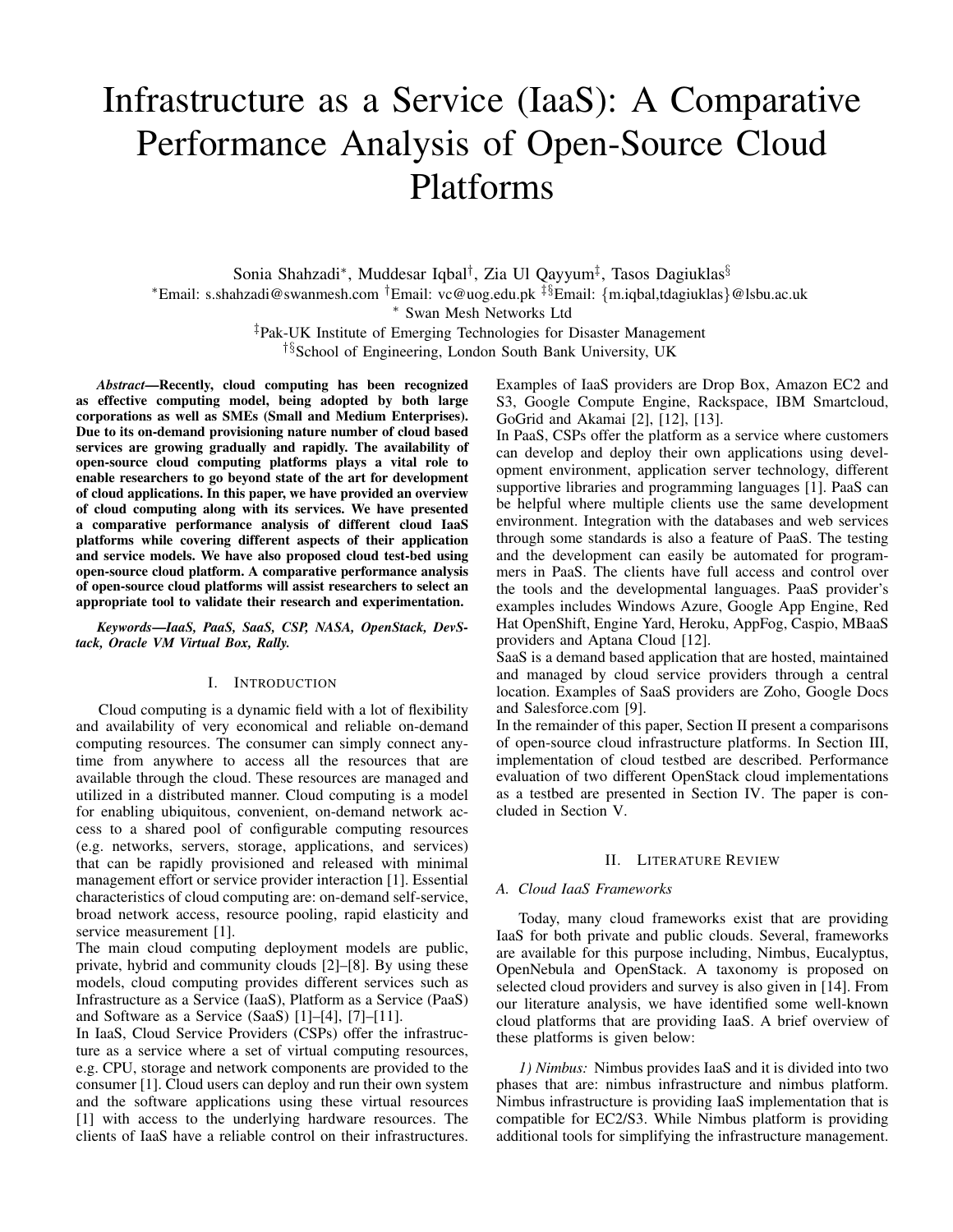# Infrastructure as a Service (IaaS): A Comparative Performance Analysis of Open-Source Cloud Platforms

Sonia Shahzadi\*, Muddesar Iqbal<sup>†</sup>, Zia Ul Qayyum<sup>‡</sup>, Tasos Dagiuklas<sup>§</sup> <sup>∗</sup>Email: s.shahzadi@swanmesh.com †Email: vc@uog.edu.pk ‡§Email: {m.iqbal,tdagiuklas}@lsbu.ac.uk <sup>∗</sup> Swan Mesh Networks Ltd ‡Pak-UK Institute of Emerging Technologies for Disaster Management

†§School of Engineering, London South Bank University, UK

*Abstract*—Recently, cloud computing has been recognized as effective computing model, being adopted by both large corporations as well as SMEs (Small and Medium Enterprises). Due to its on-demand provisioning nature number of cloud based services are growing gradually and rapidly. The availability of open-source cloud computing platforms plays a vital role to enable researchers to go beyond state of the art for development of cloud applications. In this paper, we have provided an overview of cloud computing along with its services. We have presented a comparative performance analysis of different cloud IaaS platforms while covering different aspects of their application and service models. We have also proposed cloud test-bed using open-source cloud platform. A comparative performance analysis of open-source cloud platforms will assist researchers to select an appropriate tool to validate their research and experimentation.

*Keywords*—*IaaS, PaaS, SaaS, CSP, NASA, OpenStack, DevStack, Oracle VM Virtual Box, Rally.*

# I. INTRODUCTION

Cloud computing is a dynamic field with a lot of flexibility and availability of very economical and reliable on-demand computing resources. The consumer can simply connect anytime from anywhere to access all the resources that are available through the cloud. These resources are managed and utilized in a distributed manner. Cloud computing is a model for enabling ubiquitous, convenient, on-demand network access to a shared pool of configurable computing resources (e.g. networks, servers, storage, applications, and services) that can be rapidly provisioned and released with minimal management effort or service provider interaction [1]. Essential characteristics of cloud computing are: on-demand self-service, broad network access, resource pooling, rapid elasticity and service measurement [1].

The main cloud computing deployment models are public, private, hybrid and community clouds [2]–[8]. By using these models, cloud computing provides different services such as Infrastructure as a Service (IaaS), Platform as a Service (PaaS) and Software as a Service (SaaS) [1]–[4], [7]–[11].

In IaaS, Cloud Service Providers (CSPs) offer the infrastructure as a service where a set of virtual computing resources, e.g. CPU, storage and network components are provided to the consumer [1]. Cloud users can deploy and run their own system and the software applications using these virtual resources [1] with access to the underlying hardware resources. The clients of IaaS have a reliable control on their infrastructures. Examples of IaaS providers are Drop Box, Amazon EC2 and S3, Google Compute Engine, Rackspace, IBM Smartcloud, GoGrid and Akamai [2], [12], [13].

In PaaS, CSPs offer the platform as a service where customers can develop and deploy their own applications using development environment, application server technology, different supportive libraries and programming languages [1]. PaaS can be helpful where multiple clients use the same development environment. Integration with the databases and web services through some standards is also a feature of PaaS. The testing and the development can easily be automated for programmers in PaaS. The clients have full access and control over the tools and the developmental languages. PaaS provider's examples includes Windows Azure, Google App Engine, Red Hat OpenShift, Engine Yard, Heroku, AppFog, Caspio, MBaaS providers and Aptana Cloud [12].

SaaS is a demand based application that are hosted, maintained and managed by cloud service providers through a central location. Examples of SaaS providers are Zoho, Google Docs and Salesforce.com [9].

In the remainder of this paper, Section II present a comparisons of open-source cloud infrastructure platforms. In Section III, implementation of cloud testbed are described. Performance evaluation of two different OpenStack cloud implementations as a testbed are presented in Section IV. The paper is concluded in Section V.

#### II. LITERATURE REVIEW

## *A. Cloud IaaS Frameworks*

Today, many cloud frameworks exist that are providing IaaS for both private and public clouds. Several, frameworks are available for this purpose including, Nimbus, Eucalyptus, OpenNebula and OpenStack. A taxonomy is proposed on selected cloud providers and survey is also given in [14]. From our literature analysis, we have identified some well-known cloud platforms that are providing IaaS. A brief overview of these platforms is given below:

*1) Nimbus:* Nimbus provides IaaS and it is divided into two phases that are: nimbus infrastructure and nimbus platform. Nimbus infrastructure is providing IaaS implementation that is compatible for EC2/S3. While Nimbus platform is providing additional tools for simplifying the infrastructure management.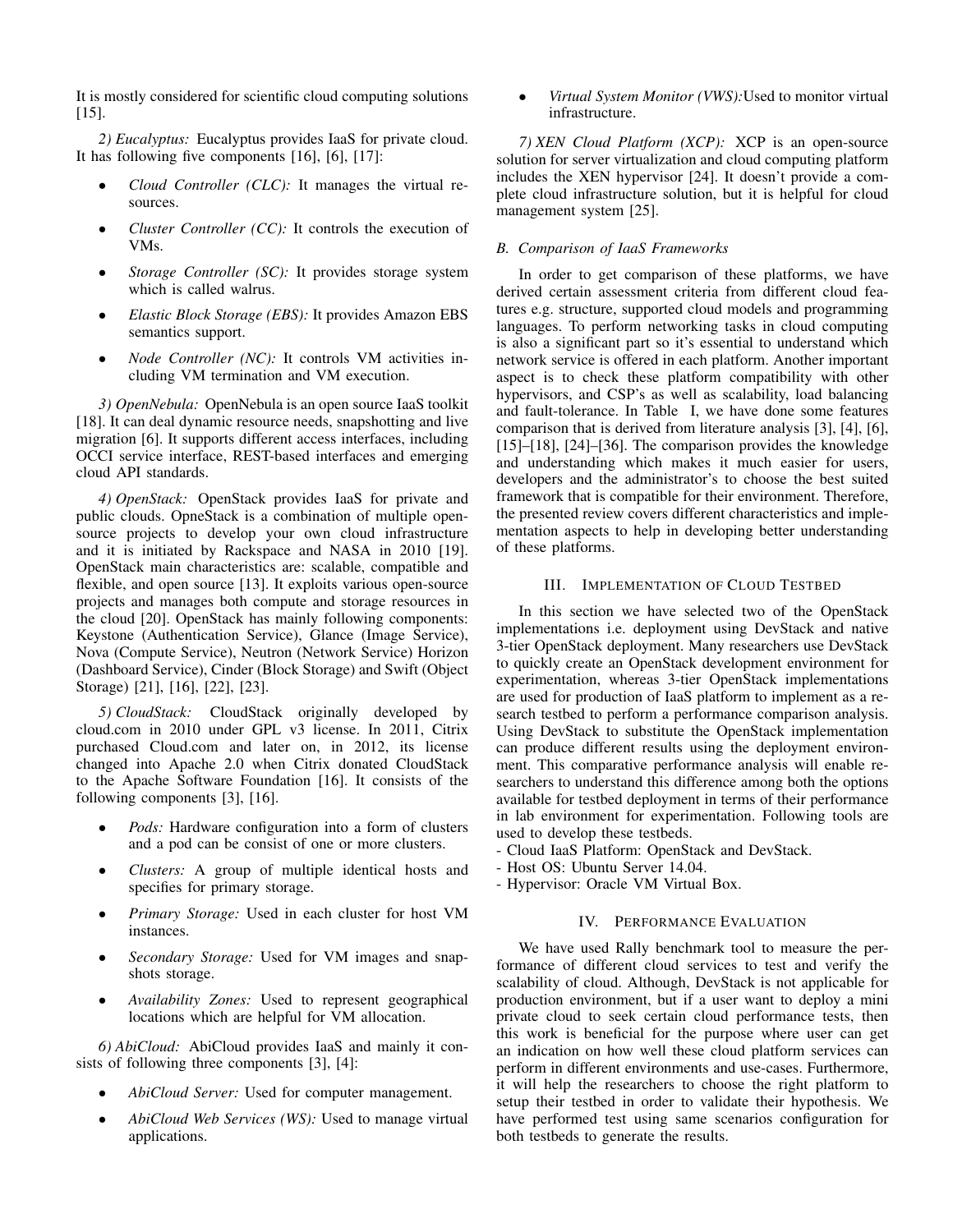It is mostly considered for scientific cloud computing solutions  $[15]$ .

*2) Eucalyptus:* Eucalyptus provides IaaS for private cloud. It has following five components [16], [6], [17]:

- *Cloud Controller (CLC):* It manages the virtual resources.
- *Cluster Controller (CC):* It controls the execution of VMs.
- *Storage Controller (SC):* It provides storage system which is called walrus.
- *Elastic Block Storage (EBS):* It provides Amazon EBS semantics support.
- *Node Controller (NC):* It controls VM activities including VM termination and VM execution.

*3) OpenNebula:* OpenNebula is an open source IaaS toolkit [18]. It can deal dynamic resource needs, snapshotting and live migration [6]. It supports different access interfaces, including OCCI service interface, REST-based interfaces and emerging cloud API standards.

*4) OpenStack:* OpenStack provides IaaS for private and public clouds. OpneStack is a combination of multiple opensource projects to develop your own cloud infrastructure and it is initiated by Rackspace and NASA in 2010 [19]. OpenStack main characteristics are: scalable, compatible and flexible, and open source [13]. It exploits various open-source projects and manages both compute and storage resources in the cloud [20]. OpenStack has mainly following components: Keystone (Authentication Service), Glance (Image Service), Nova (Compute Service), Neutron (Network Service) Horizon (Dashboard Service), Cinder (Block Storage) and Swift (Object Storage) [21], [16], [22], [23].

*5) CloudStack:* CloudStack originally developed by cloud.com in 2010 under GPL v3 license. In 2011, Citrix purchased Cloud.com and later on, in 2012, its license changed into Apache 2.0 when Citrix donated CloudStack to the Apache Software Foundation [16]. It consists of the following components [3], [16].

- *Pods:* Hardware configuration into a form of clusters and a pod can be consist of one or more clusters.
- *Clusters:* A group of multiple identical hosts and specifies for primary storage.
- *Primary Storage:* Used in each cluster for host VM instances.
- *Secondary Storage:* Used for VM images and snapshots storage.
- *Availability Zones:* Used to represent geographical locations which are helpful for VM allocation.

*6) AbiCloud:* AbiCloud provides IaaS and mainly it consists of following three components [3], [4]:

- *AbiCloud Server:* Used for computer management.
- *AbiCloud Web Services (WS):* Used to manage virtual applications.

• *Virtual System Monitor (VWS):*Used to monitor virtual infrastructure.

*7) XEN Cloud Platform (XCP):* XCP is an open-source solution for server virtualization and cloud computing platform includes the XEN hypervisor [24]. It doesn't provide a complete cloud infrastructure solution, but it is helpful for cloud management system [25].

## *B. Comparison of IaaS Frameworks*

In order to get comparison of these platforms, we have derived certain assessment criteria from different cloud features e.g. structure, supported cloud models and programming languages. To perform networking tasks in cloud computing is also a significant part so it's essential to understand which network service is offered in each platform. Another important aspect is to check these platform compatibility with other hypervisors, and CSP's as well as scalability, load balancing and fault-tolerance. In Table I, we have done some features comparison that is derived from literature analysis [3], [4], [6], [15]–[18], [24]–[36]. The comparison provides the knowledge and understanding which makes it much easier for users, developers and the administrator's to choose the best suited framework that is compatible for their environment. Therefore, the presented review covers different characteristics and implementation aspects to help in developing better understanding of these platforms.

#### III. IMPLEMENTATION OF CLOUD TESTBED

In this section we have selected two of the OpenStack implementations i.e. deployment using DevStack and native 3-tier OpenStack deployment. Many researchers use DevStack to quickly create an OpenStack development environment for experimentation, whereas 3-tier OpenStack implementations are used for production of IaaS platform to implement as a research testbed to perform a performance comparison analysis. Using DevStack to substitute the OpenStack implementation can produce different results using the deployment environment. This comparative performance analysis will enable researchers to understand this difference among both the options available for testbed deployment in terms of their performance in lab environment for experimentation. Following tools are used to develop these testbeds.

- Cloud IaaS Platform: OpenStack and DevStack.
- Host OS: Ubuntu Server 14.04.
- Hypervisor: Oracle VM Virtual Box.

#### IV. PERFORMANCE EVALUATION

We have used Rally benchmark tool to measure the performance of different cloud services to test and verify the scalability of cloud. Although, DevStack is not applicable for production environment, but if a user want to deploy a mini private cloud to seek certain cloud performance tests, then this work is beneficial for the purpose where user can get an indication on how well these cloud platform services can perform in different environments and use-cases. Furthermore, it will help the researchers to choose the right platform to setup their testbed in order to validate their hypothesis. We have performed test using same scenarios configuration for both testbeds to generate the results.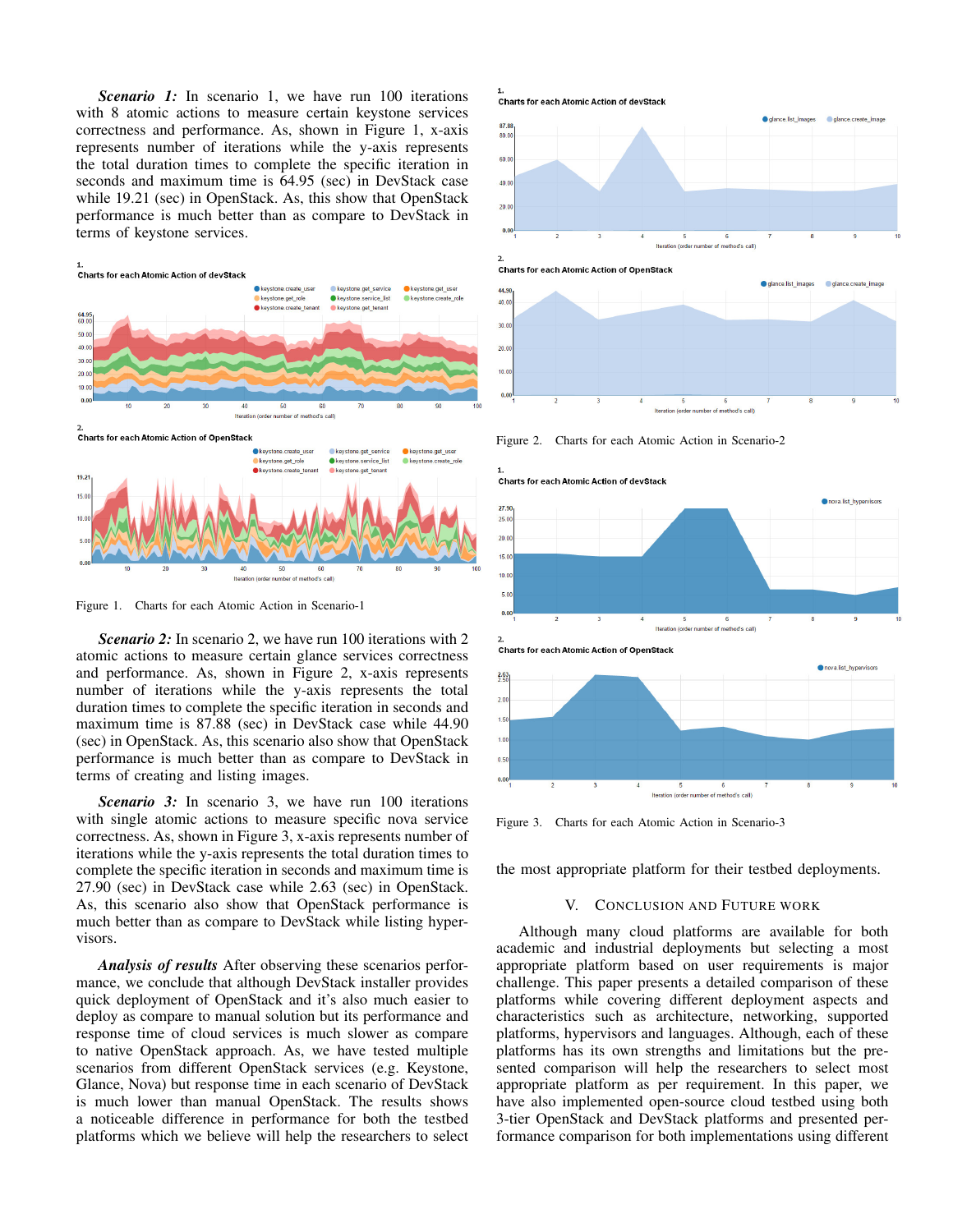**Scenario 1:** In scenario 1, we have run 100 iterations with 8 atomic actions to measure certain keystone services correctness and performance. As, shown in Figure 1, x-axis represents number of iterations while the y-axis represents the total duration times to complete the specific iteration in seconds and maximum time is 64.95 (sec) in DevStack case while 19.21 (sec) in OpenStack. As, this show that OpenStack performance is much better than as compare to DevStack in terms of keystone services.



Figure 1. Charts for each Atomic Action in Scenario-1

*Scenario 2:* In scenario 2, we have run 100 iterations with 2 atomic actions to measure certain glance services correctness and performance. As, shown in Figure 2, x-axis represents number of iterations while the y-axis represents the total duration times to complete the specific iteration in seconds and maximum time is 87.88 (sec) in DevStack case while 44.90 (sec) in OpenStack. As, this scenario also show that OpenStack performance is much better than as compare to DevStack in terms of creating and listing images.

**Scenario 3:** In scenario 3, we have run 100 iterations with single atomic actions to measure specific nova service correctness. As, shown in Figure 3, x-axis represents number of iterations while the y-axis represents the total duration times to complete the specific iteration in seconds and maximum time is 27.90 (sec) in DevStack case while 2.63 (sec) in OpenStack. As, this scenario also show that OpenStack performance is much better than as compare to DevStack while listing hypervisors.

*Analysis of results* After observing these scenarios performance, we conclude that although DevStack installer provides quick deployment of OpenStack and it's also much easier to deploy as compare to manual solution but its performance and response time of cloud services is much slower as compare to native OpenStack approach. As, we have tested multiple scenarios from different OpenStack services (e.g. Keystone, Glance, Nova) but response time in each scenario of DevStack is much lower than manual OpenStack. The results shows a noticeable difference in performance for both the testbed platforms which we believe will help the researchers to select

Charts for each Atomic Action of devStack







Figure 2. Charts for each Atomic Action in Scenario-2





Figure 3. Charts for each Atomic Action in Scenario-3

the most appropriate platform for their testbed deployments.

#### V. CONCLUSION AND FUTURE WORK

Although many cloud platforms are available for both academic and industrial deployments but selecting a most appropriate platform based on user requirements is major challenge. This paper presents a detailed comparison of these platforms while covering different deployment aspects and characteristics such as architecture, networking, supported platforms, hypervisors and languages. Although, each of these platforms has its own strengths and limitations but the presented comparison will help the researchers to select most appropriate platform as per requirement. In this paper, we have also implemented open-source cloud testbed using both 3-tier OpenStack and DevStack platforms and presented performance comparison for both implementations using different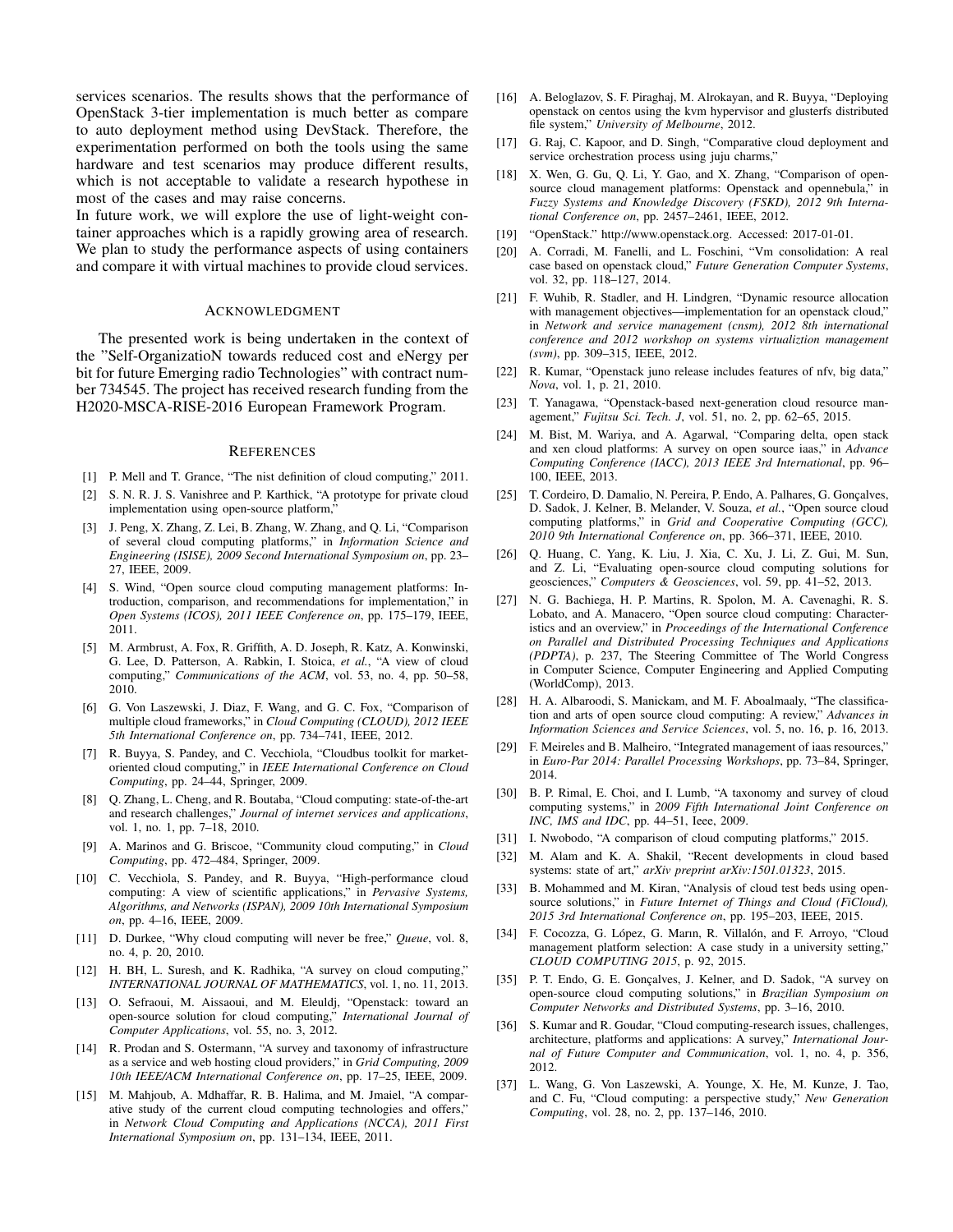services scenarios. The results shows that the performance of OpenStack 3-tier implementation is much better as compare to auto deployment method using DevStack. Therefore, the experimentation performed on both the tools using the same hardware and test scenarios may produce different results, which is not acceptable to validate a research hypothese in most of the cases and may raise concerns.

In future work, we will explore the use of light-weight container approaches which is a rapidly growing area of research. We plan to study the performance aspects of using containers and compare it with virtual machines to provide cloud services.

#### ACKNOWLEDGMENT

The presented work is being undertaken in the context of the "Self-OrganizatioN towards reduced cost and eNergy per bit for future Emerging radio Technologies" with contract number 734545. The project has received research funding from the H2020-MSCA-RISE-2016 European Framework Program.

#### **REFERENCES**

- [1] P. Mell and T. Grance, "The nist definition of cloud computing," 2011.
- [2] S. N. R. J. S. Vanishree and P. Karthick, "A prototype for private cloud implementation using open-source platform,"
- [3] J. Peng, X. Zhang, Z. Lei, B. Zhang, W. Zhang, and Q. Li, "Comparison of several cloud computing platforms," in *Information Science and Engineering (ISISE), 2009 Second International Symposium on*, pp. 23– 27, IEEE, 2009.
- [4] S. Wind, "Open source cloud computing management platforms: Introduction, comparison, and recommendations for implementation," in *Open Systems (ICOS), 2011 IEEE Conference on*, pp. 175–179, IEEE, 2011.
- [5] M. Armbrust, A. Fox, R. Griffith, A. D. Joseph, R. Katz, A. Konwinski, G. Lee, D. Patterson, A. Rabkin, I. Stoica, *et al.*, "A view of cloud computing," *Communications of the ACM*, vol. 53, no. 4, pp. 50–58, 2010.
- [6] G. Von Laszewski, J. Diaz, F. Wang, and G. C. Fox, "Comparison of multiple cloud frameworks," in *Cloud Computing (CLOUD), 2012 IEEE 5th International Conference on*, pp. 734–741, IEEE, 2012.
- [7] R. Buyya, S. Pandey, and C. Vecchiola, "Cloudbus toolkit for marketoriented cloud computing," in *IEEE International Conference on Cloud Computing*, pp. 24–44, Springer, 2009.
- [8] Q. Zhang, L. Cheng, and R. Boutaba, "Cloud computing: state-of-the-art and research challenges," *Journal of internet services and applications*, vol. 1, no. 1, pp. 7–18, 2010.
- [9] A. Marinos and G. Briscoe, "Community cloud computing," in *Cloud Computing*, pp. 472–484, Springer, 2009.
- [10] C. Vecchiola, S. Pandey, and R. Buyya, "High-performance cloud computing: A view of scientific applications," in *Pervasive Systems, Algorithms, and Networks (ISPAN), 2009 10th International Symposium on*, pp. 4–16, IEEE, 2009.
- [11] D. Durkee, "Why cloud computing will never be free," *Queue*, vol. 8, no. 4, p. 20, 2010.
- [12] H. BH, L. Suresh, and K. Radhika, "A survey on cloud computing," *INTERNATIONAL JOURNAL OF MATHEMATICS*, vol. 1, no. 11, 2013.
- [13] O. Sefraoui, M. Aissaoui, and M. Eleuldj, "Openstack: toward an open-source solution for cloud computing," *International Journal of Computer Applications*, vol. 55, no. 3, 2012.
- [14] R. Prodan and S. Ostermann, "A survey and taxonomy of infrastructure as a service and web hosting cloud providers," in *Grid Computing, 2009 10th IEEE/ACM International Conference on*, pp. 17–25, IEEE, 2009.
- [15] M. Mahjoub, A. Mdhaffar, R. B. Halima, and M. Jmaiel, "A comparative study of the current cloud computing technologies and offers," in *Network Cloud Computing and Applications (NCCA), 2011 First International Symposium on*, pp. 131–134, IEEE, 2011.
- [16] A. Beloglazov, S. F. Piraghaj, M. Alrokayan, and R. Buyya, "Deploying openstack on centos using the kvm hypervisor and glusterfs distributed file system," *University of Melbourne*, 2012.
- [17] G. Raj, C. Kapoor, and D. Singh, "Comparative cloud deployment and service orchestration process using juju charms,"
- [18] X. Wen, G. Gu, Q. Li, Y. Gao, and X. Zhang, "Comparison of opensource cloud management platforms: Openstack and opennebula," in *Fuzzy Systems and Knowledge Discovery (FSKD), 2012 9th International Conference on*, pp. 2457–2461, IEEE, 2012.
- [19] "OpenStack." http://www.openstack.org. Accessed: 2017-01-01.
- [20] A. Corradi, M. Fanelli, and L. Foschini, "Vm consolidation: A real case based on openstack cloud," *Future Generation Computer Systems*, vol. 32, pp. 118–127, 2014.
- [21] F. Wuhib, R. Stadler, and H. Lindgren, "Dynamic resource allocation with management objectives—implementation for an openstack cloud," in *Network and service management (cnsm), 2012 8th international conference and 2012 workshop on systems virtualiztion management (svm)*, pp. 309–315, IEEE, 2012.
- [22] R. Kumar, "Openstack juno release includes features of nfv, big data," *Nova*, vol. 1, p. 21, 2010.
- [23] T. Yanagawa, "Openstack-based next-generation cloud resource management," *Fujitsu Sci. Tech. J*, vol. 51, no. 2, pp. 62–65, 2015.
- [24] M. Bist, M. Wariya, and A. Agarwal, "Comparing delta, open stack and xen cloud platforms: A survey on open source iaas," in *Advance Computing Conference (IACC), 2013 IEEE 3rd International*, pp. 96– 100, IEEE, 2013.
- [25] T. Cordeiro, D. Damalio, N. Pereira, P. Endo, A. Palhares, G. Gonçalves, D. Sadok, J. Kelner, B. Melander, V. Souza, *et al.*, "Open source cloud computing platforms," in *Grid and Cooperative Computing (GCC), 2010 9th International Conference on*, pp. 366–371, IEEE, 2010.
- [26] Q. Huang, C. Yang, K. Liu, J. Xia, C. Xu, J. Li, Z. Gui, M. Sun, and Z. Li, "Evaluating open-source cloud computing solutions for geosciences," *Computers & Geosciences*, vol. 59, pp. 41–52, 2013.
- [27] N. G. Bachiega, H. P. Martins, R. Spolon, M. A. Cavenaghi, R. S. Lobato, and A. Manacero, "Open source cloud computing: Characteristics and an overview," in *Proceedings of the International Conference on Parallel and Distributed Processing Techniques and Applications (PDPTA)*, p. 237, The Steering Committee of The World Congress in Computer Science, Computer Engineering and Applied Computing (WorldComp), 2013.
- [28] H. A. Albaroodi, S. Manickam, and M. F. Aboalmaaly, "The classification and arts of open source cloud computing: A review," *Advances in Information Sciences and Service Sciences*, vol. 5, no. 16, p. 16, 2013.
- [29] F. Meireles and B. Malheiro, "Integrated management of iaas resources," in *Euro-Par 2014: Parallel Processing Workshops*, pp. 73–84, Springer, 2014.
- [30] B. P. Rimal, E. Choi, and I. Lumb, "A taxonomy and survey of cloud computing systems," in *2009 Fifth International Joint Conference on INC, IMS and IDC*, pp. 44–51, Ieee, 2009.
- [31] I. Nwobodo, "A comparison of cloud computing platforms," 2015.
- [32] M. Alam and K. A. Shakil, "Recent developments in cloud based systems: state of art," *arXiv preprint arXiv:1501.01323*, 2015.
- [33] B. Mohammed and M. Kiran, "Analysis of cloud test beds using opensource solutions," in *Future Internet of Things and Cloud (FiCloud), 2015 3rd International Conference on*, pp. 195–203, IEEE, 2015.
- [34] F. Cocozza, G. López, G. Marın, R. Villalón, and F. Arroyo, "Cloud management platform selection: A case study in a university setting," *CLOUD COMPUTING 2015*, p. 92, 2015.
- [35] P. T. Endo, G. E. Gonçalves, J. Kelner, and D. Sadok, "A survey on open-source cloud computing solutions," in *Brazilian Symposium on Computer Networks and Distributed Systems*, pp. 3–16, 2010.
- [36] S. Kumar and R. Goudar, "Cloud computing-research issues, challenges, architecture, platforms and applications: A survey," *International Journal of Future Computer and Communication*, vol. 1, no. 4, p. 356, 2012.
- [37] L. Wang, G. Von Laszewski, A. Younge, X. He, M. Kunze, J. Tao, and C. Fu, "Cloud computing: a perspective study," *New Generation Computing*, vol. 28, no. 2, pp. 137–146, 2010.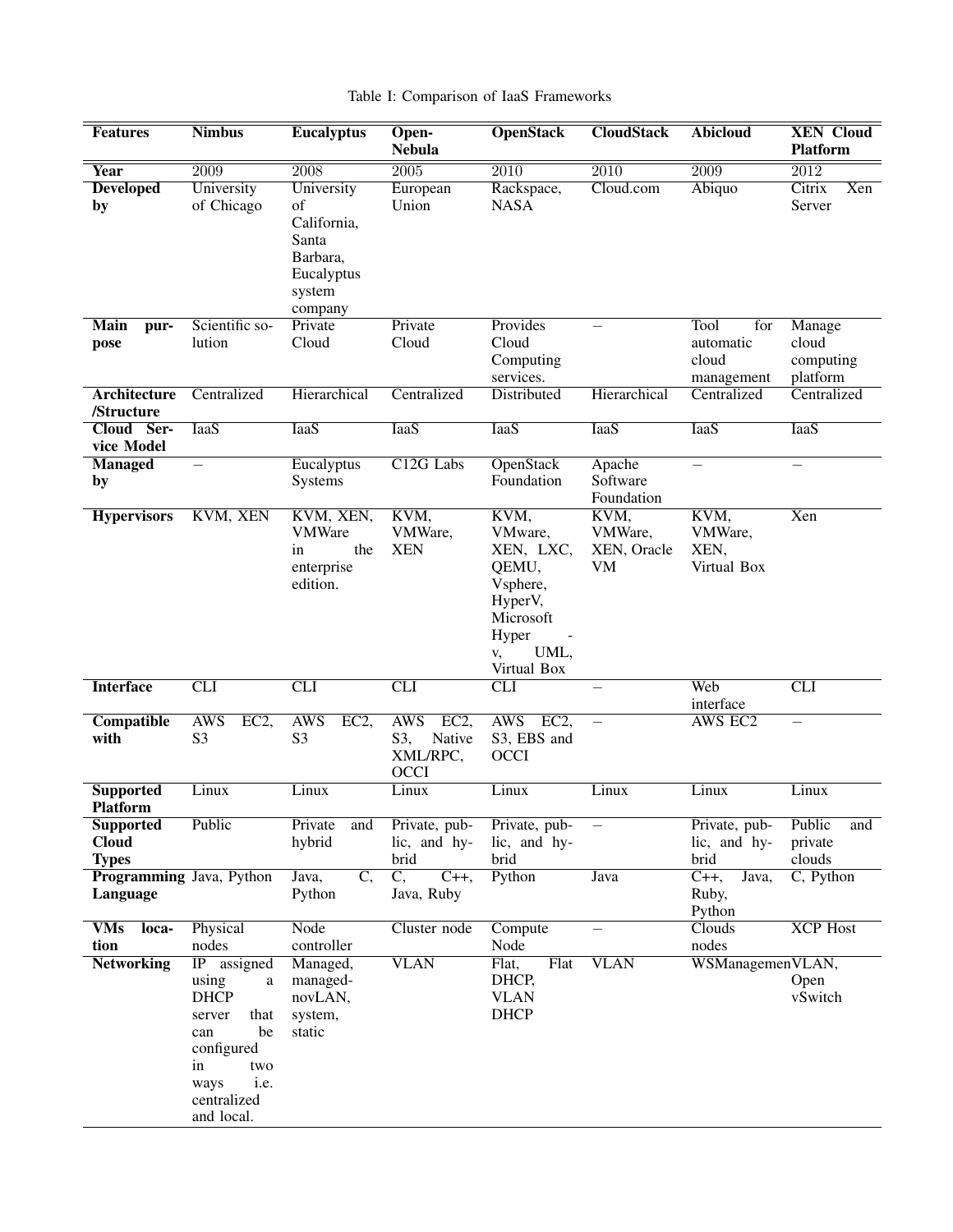# Table I: Comparison of IaaS Frameworks

| <b>Features</b>                           | <b>Nimbus</b>                                                                                                                                   | <b>Eucalyptus</b>                                                                       | Open-<br><b>Nebula</b>                                         | <b>OpenStack</b>                                                                                                | <b>CloudStack</b>                           | <b>Abicloud</b>                                 | <b>XEN Cloud</b><br><b>Platform</b>      |
|-------------------------------------------|-------------------------------------------------------------------------------------------------------------------------------------------------|-----------------------------------------------------------------------------------------|----------------------------------------------------------------|-----------------------------------------------------------------------------------------------------------------|---------------------------------------------|-------------------------------------------------|------------------------------------------|
| <b>Year</b>                               | $\overline{2009}$                                                                                                                               | $\overline{2008}$                                                                       | $\overline{2005}$                                              | $\overline{2010}$                                                                                               | $\overline{2010}$                           | $\overline{2009}$                               | $\overline{2012}$                        |
| <b>Developed</b><br>by                    | University<br>of Chicago                                                                                                                        | University<br>of<br>California,<br>Santa<br>Barbara,<br>Eucalyptus<br>system<br>company | European<br>Union                                              | Rackspace,<br><b>NASA</b>                                                                                       | Cloud.com                                   | Abiquo                                          | Citrix<br>Xen<br>Server                  |
| Main<br>pur-<br>pose                      | Scientific so-<br>lution                                                                                                                        | Private<br>Cloud                                                                        | Private<br>Cloud                                               | Provides<br>Cloud<br>Computing<br>services.                                                                     |                                             | Tool<br>for<br>automatic<br>cloud<br>management | Manage<br>cloud<br>computing<br>platform |
| <b>Architecture</b><br>/Structure         | Centralized                                                                                                                                     | Hierarchical                                                                            | Centralized                                                    | Distributed                                                                                                     | Hierarchical                                | Centralized                                     | Centralized                              |
| Cloud Ser-<br>vice Model                  | <b>IaaS</b>                                                                                                                                     | <b>IaaS</b>                                                                             | <b>IaaS</b>                                                    | <b>IaaS</b>                                                                                                     | <b>IaaS</b>                                 | <b>IaaS</b>                                     | <b>IaaS</b>                              |
| <b>Managed</b><br>by                      | $\overline{\phantom{0}}$                                                                                                                        | Eucalyptus<br>Systems                                                                   | C <sub>12G</sub> Labs                                          | OpenStack<br>Foundation                                                                                         | Apache<br>Software<br>Foundation            | $\qquad \qquad -$                               | $\overline{\phantom{0}}$                 |
| <b>Hypervisors</b>                        | KVM, XEN                                                                                                                                        | KVM, XEN,<br><b>VMWare</b><br>the<br>in<br>enterprise<br>edition.                       | KVM,<br>VMWare,<br><b>XEN</b>                                  | KVM,<br>VMware,<br>XEN, LXC,<br>QEMU,<br>Vsphere,<br>HyperV,<br>Microsoft<br>Hyper<br>UML,<br>V,<br>Virtual Box | KVM,<br>VMWare,<br>XEN, Oracle<br><b>VM</b> | KVM,<br>VMWare,<br>XEN,<br>Virtual Box          | Xen                                      |
| <b>Interface</b>                          | CLI                                                                                                                                             | CLI                                                                                     | CLI                                                            | CLI                                                                                                             |                                             | Web<br>interface                                | <b>CLI</b>                               |
| Compatible<br>with                        | <b>AWS</b><br>EC2,<br>S <sub>3</sub>                                                                                                            | <b>AWS</b><br>EC2,<br>S <sub>3</sub>                                                    | <b>AWS</b><br>EC2,<br>S3,<br>Native<br>XML/RPC,<br><b>OCCI</b> | <b>AWS</b><br>EC2,<br>S3, EBS and<br><b>OCCI</b>                                                                | $\equiv$                                    | <b>AWS EC2</b>                                  |                                          |
| <b>Supported</b><br><b>Platform</b>       | Linux                                                                                                                                           | Linux                                                                                   | Linux                                                          | Linux                                                                                                           | Linux                                       | Linux                                           | Linux                                    |
| Supported<br><b>Cloud</b><br><b>Types</b> | Public                                                                                                                                          | Private<br>and<br>hybrid                                                                | Private, pub-<br>lic, and hy-<br>brid                          | Private, pub-<br>lic, and hy-<br>brid                                                                           | $\qquad \qquad -$                           | Private, pub-<br>lic, and hy-<br>brid           | Public<br>and<br>private<br>clouds       |
| Programming Java, Python<br>Language      |                                                                                                                                                 | Java,<br>$\overline{C}$ ,<br>Python                                                     | $\overline{C_{n}}$<br>$C_{++}$<br>Java, Ruby                   | Python                                                                                                          | Java                                        | $C_{++}$<br>Java,<br>Ruby,<br>Python            | C, Python                                |
| <b>VMs</b><br>loca-<br>tion               | Physical<br>nodes                                                                                                                               | Node<br>controller                                                                      | Cluster node                                                   | Compute<br>Node                                                                                                 | $\equiv$                                    | Clouds<br>nodes                                 | <b>XCP</b> Host                          |
| <b>Networking</b>                         | IP assigned<br>using<br>a<br><b>DHCP</b><br>that<br>server<br>be<br>can<br>configured<br>in<br>two<br>i.e.<br>ways<br>centralized<br>and local. | Managed,<br>managed-<br>novLAN,<br>system,<br>static                                    | <b>VLAN</b>                                                    | Flat<br>Flat,<br>DHCP,<br><b>VLAN</b><br><b>DHCP</b>                                                            | <b>VLAN</b>                                 | WSManagemenVLAN,                                | Open<br>vSwitch                          |